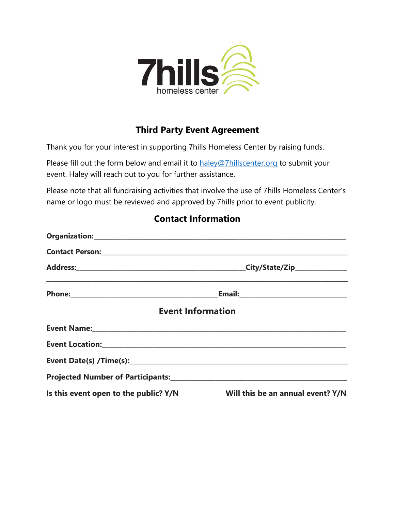

## **Third Party Event Agreement**

Thank you for your interest in supporting 7hills Homeless Center by raising funds.

Please fill out the form below and email it to [haley@7hillscenter.org](mailto:haley@7hillscenter.org) to submit your event. Haley will reach out to you for further assistance.

Please note that all fundraising activities that involve the use of 7hills Homeless Center's name or logo must be reviewed and approved by 7hills prior to event publicity.

|                                       | <b>Event Information</b>          |
|---------------------------------------|-----------------------------------|
|                                       |                                   |
|                                       |                                   |
|                                       |                                   |
|                                       |                                   |
| Is this event open to the public? Y/N | Will this be an annual event? Y/N |

## **Contact Information**